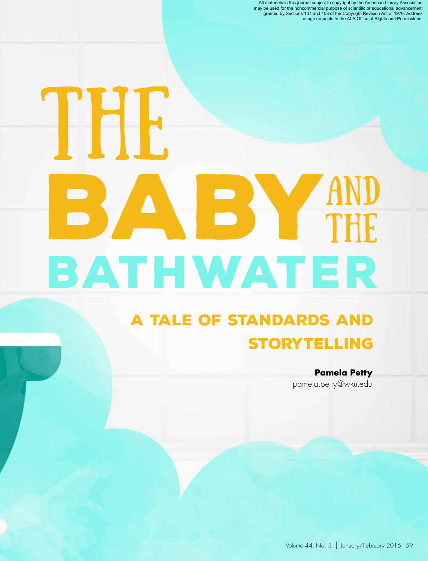All materials in this journal subject to copyright by the American Library Association<br>may be used for the noncommercial purpose of scientific or educational advancement<br>granted by Sections 107 and 108 of the Copyright Rev

# BABY BATHWATER THE. AND THE

#### A Tale of Standards and **STORYTELLING**

**Pamela Petty** pamela.petty@wku.edu

Volume 44, No. 3 | January/February 2016 59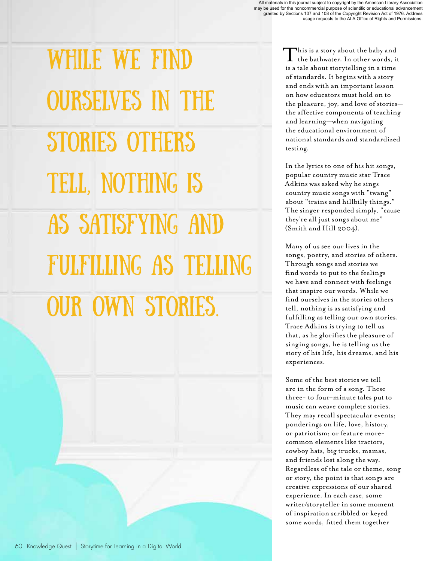While we find ourselves in the stories others tell, nothing is as satisfying and fulfilling as telling our own stories.

This is a story about the baby and the bathwater. In other words, it is a tale about storytelling in a time of standards. It begins with a story and ends with an important lesson on how educators must hold on to the pleasure, joy, and love of stories the affective components of teaching and learning—when navigating the educational environment of national standards and standardized testing.

In the lyrics to one of his hit songs, popular country music star Trace Adkins was asked why he sings country music songs with "twang" about "trains and hillbilly things." The singer responded simply, "cause they're all just songs about me" (Smith and Hill 2004).

Many of us see our lives in the songs, poetry, and stories of others. Through songs and stories we find words to put to the feelings we have and connect with feelings that inspire our words. While we find ourselves in the stories others tell, nothing is as satisfying and fulfilling as telling our own stories. Trace Adkins is trying to tell us that, as he glorifies the pleasure of singing songs, he is telling us the story of his life, his dreams, and his experiences.

Some of the best stories we tell are in the form of a song. These three- to four-minute tales put to music can weave complete stories. They may recall spectacular events; ponderings on life, love, history, or patriotism; or feature morecommon elements like tractors, cowboy hats, big trucks, mamas, and friends lost along the way. Regardless of the tale or theme, song or story, the point is that songs are creative expressions of our shared experience. In each case, some writer/storyteller in some moment of inspiration scribbled or keyed some words, fitted them together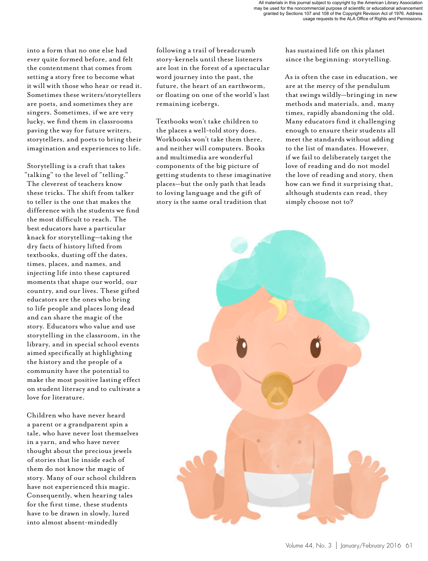into a form that no one else had ever quite formed before, and felt the contentment that comes from setting a story free to become what it will with those who hear or read it. Sometimes these writers/storytellers are poets, and sometimes they are singers. Sometimes, if we are very lucky, we find them in classrooms paving the way for future writers, storytellers, and poets to bring their imagination and experiences to life.

Storytelling is a craft that takes "talking" to the level of "telling." The cleverest of teachers know these tricks. The shift from talker to teller is the one that makes the difference with the students we find the most difficult to reach. The best educators have a particular knack for storytelling—taking the dry facts of history lifted from textbooks, dusting off the dates, times, places, and names, and injecting life into these captured moments that shape our world, our country, and our lives. These gifted educators are the ones who bring to life people and places long dead and can share the magic of the story. Educators who value and use storytelling in the classroom, in the library, and in special school events aimed specifically at highlighting the history and the people of a community have the potential to make the most positive lasting effect on student literacy and to cultivate a love for literature.

Children who have never heard a parent or a grandparent spin a tale, who have never lost themselves in a yarn, and who have never thought about the precious jewels of stories that lie inside each of them do not know the magic of story. Many of our school children have not experienced this magic. Consequently, when hearing tales for the first time, these students have to be drawn in slowly, lured into almost absent-mindedly

following a trail of breadcrumb story-kernels until these listeners are lost in the forest of a spectacular word journey into the past, the future, the heart of an earthworm, or floating on one of the world's last remaining icebergs.

Textbooks won't take children to the places a well-told story does. Workbooks won't take them there, and neither will computers. Books and multimedia are wonderful components of the big picture of getting students to these imaginative places—but the only path that leads to loving language and the gift of story is the same oral tradition that

has sustained life on this planet since the beginning: storytelling.

As is often the case in education, we are at the mercy of the pendulum that swings wildly—bringing in new methods and materials, and, many times, rapidly abandoning the old. Many educators find it challenging enough to ensure their students all meet the standards without adding to the list of mandates. However, if we fail to deliberately target the love of reading and do not model the love of reading and story, then how can we find it surprising that, although students can read, they simply choose not to?

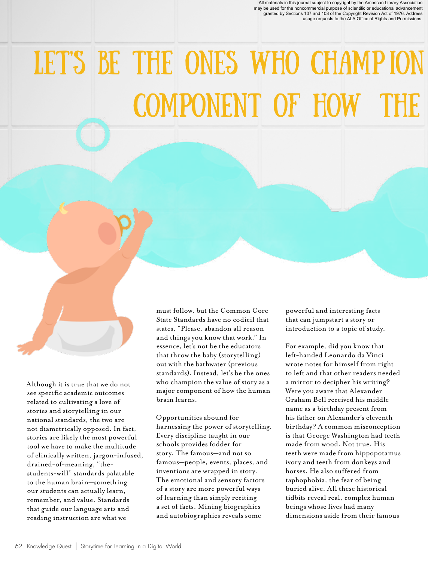All materials in this journal subject to copyright by the American Library Association<br>may be used for the noncommercial purpose of scientific or educational advancement<br>granted by Sections 107 and 108 of the Copyright Rev usage requests to the ALA Office of Rights and Permissions.

### LET'S BE THE ONES WHO CHAMP ION COMPONENT OF HOW TH

Although it is true that we do not see specific academic outcomes related to cultivating a love of stories and storytelling in our national standards, the two are not diametrically opposed. In fact, stories are likely the most powerful tool we have to make the multitude of clinically written, jargon-infused, drained-of-meaning, "thestudents-will" standards palatable to the human brain—something our students can actually learn, remember, and value. Standards that guide our language arts and reading instruction are what we

must follow, but the Common Core State Standards have no codicil that states, "Please, abandon all reason and things you know that work." In essence, let's not be the educators that throw the baby (storytelling) out with the bathwater (previous standards). Instead, let's be the ones who champion the value of story as a major component of how the human brain learns.

Opportunities abound for harnessing the power of storytelling. Every discipline taught in our schools provides fodder for story. The famous—and not so famous—people, events, places, and inventions are wrapped in story. The emotional and sensory factors of a story are more powerful ways of learning than simply reciting a set of facts. Mining biographies and autobiographies reveals some

powerful and interesting facts that can jumpstart a story or introduction to a topic of study.

For example, did you know that left-handed Leonardo da Vinci wrote notes for himself from right to left and that other readers needed a mirror to decipher his writing? Were you aware that Alexander Graham Bell received his middle name as a birthday present from his father on Alexander's eleventh birthday? A common misconception is that George Washington had teeth made from wood. Not true. His teeth were made from hippopotamus ivory and teeth from donkeys and horses. He also suffered from taphophobia, the fear of being buried alive. All these historical tidbits reveal real, complex human beings whose lives had many dimensions aside from their famous